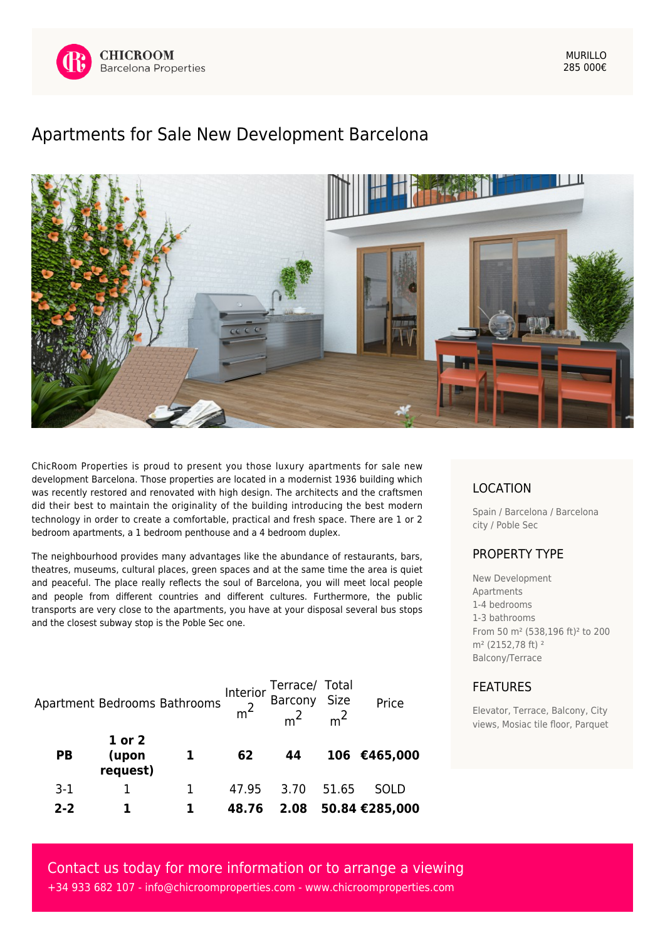

MURILLO 285 000€

## [Apartments for Sale New Development Barcelona](https://www.chicroomproperties.com/en/property/535/apartments-for-sale-new-development-barcelona/)



ChicRoom Properties is proud to present you those luxury apartments for sale new development Barcelona. Those properties are located in a modernist 1936 building which was recently restored and renovated with high design. The architects and the craftsmen did their best to maintain the originality of the building introducing the best modern technology in order to create a comfortable, practical and fresh space. There are 1 or 2 bedroom apartments, a 1 bedroom penthouse and a 4 bedroom duplex.

The neighbourhood provides many advantages like the abundance of restaurants, bars, theatres, museums, cultural places, green spaces and at the same time the area is quiet and peaceful. The place really reflects the soul of Barcelona, you will meet local people and people from different countries and different cultures. Furthermore, the public transports are very close to the apartments, you have at your disposal several bus stops and the closest subway stop is the Poble Sec one.

|           |                             | Apartment Bedrooms Bathrooms | Interior | Terrace/ Total<br>Barcony Size<br>m <sup>2</sup> m <sup>2</sup> |       | Price          |
|-----------|-----------------------------|------------------------------|----------|-----------------------------------------------------------------|-------|----------------|
| <b>PB</b> | 1 or 2<br>(upon<br>request) |                              | 62       | 44                                                              |       | 106 €465,000   |
| $3-1$     |                             |                              | 47.95    | 3.70                                                            | 51.65 | <b>SOLD</b>    |
| $2 - 2$   |                             |                              | 48.76    | 2.08                                                            |       | 50.84 €285,000 |

## LOCATION

Spain / Barcelona / Barcelona city / Poble Sec

## PROPERTY TYPE

New Development Apartments 1-4 bedrooms 1-3 bathrooms From 50 m² (538,196 ft)² to 200 m<sup>2</sup> (2152.78 ft)<sup>2</sup> Balcony/Terrace

## FEATURES

Elevator, Terrace, Balcony, City views, Mosiac tile floor, Parquet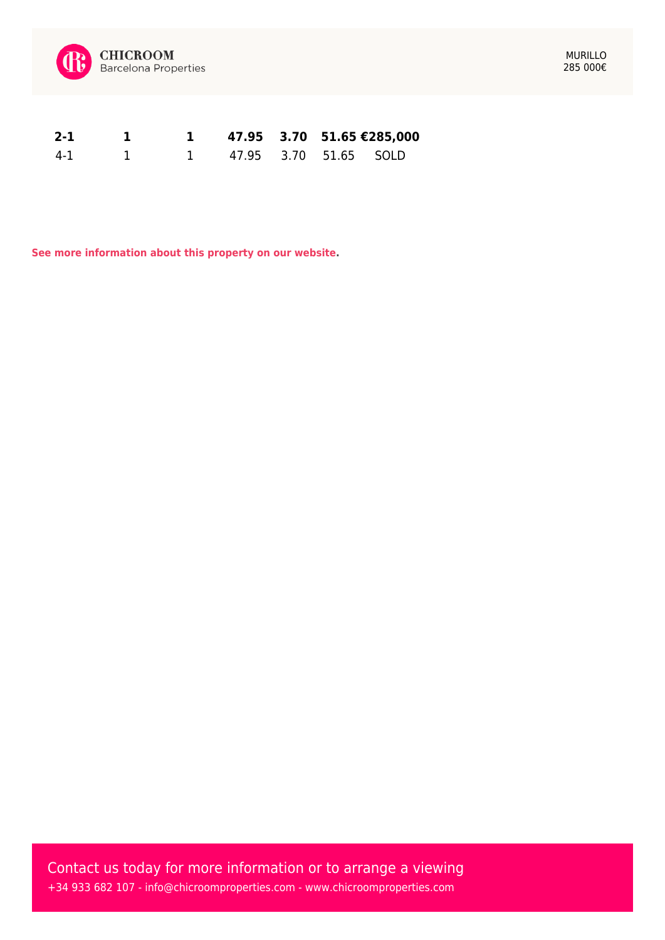

| $2 - 1$ | $\sim$ 1. |                         |  | 1 47.95 3.70 51.65 $\text{\textsterling}285,000$ |
|---------|-----------|-------------------------|--|--------------------------------------------------|
| 4-1 1   |           | 1 47.95 3.70 51.65 SOLD |  |                                                  |

**[See more information about this property on our website.](https://www.chicroomproperties.com/en/property/535/apartments-for-sale-new-development-barcelona/)**

Contact us today for more information or to arrange a viewing +34 933 682 107 - [info@chicroomproperties.com](mailto:info@chicroomproperties.com) - [www.chicroomproperties.com](http://www.chicroomproperties.com)